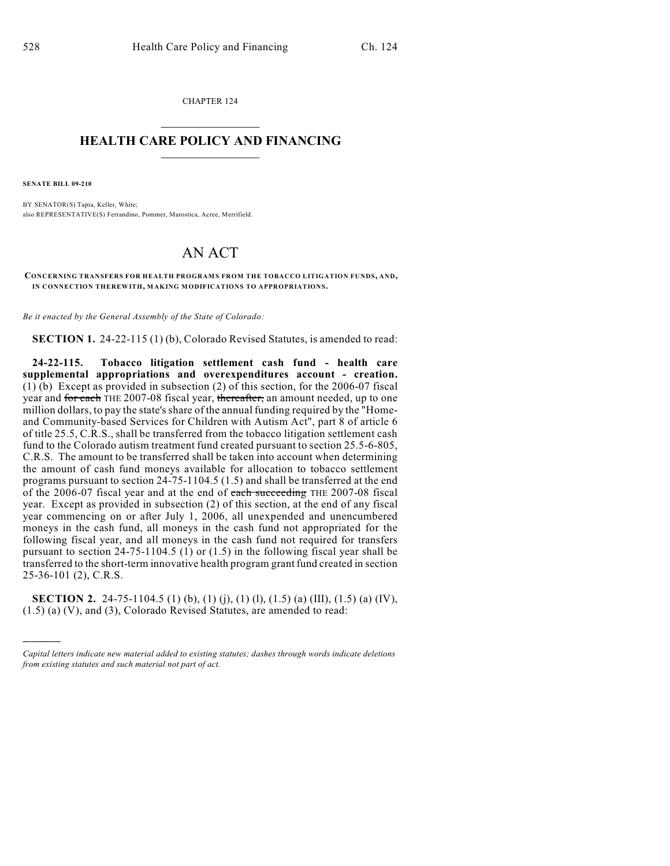CHAPTER 124  $\overline{\phantom{a}}$  . The set of the set of the set of the set of the set of the set of the set of the set of the set of the set of the set of the set of the set of the set of the set of the set of the set of the set of the set o

### **HEALTH CARE POLICY AND FINANCING**  $\_$   $\_$   $\_$   $\_$   $\_$   $\_$   $\_$   $\_$

**SENATE BILL 09-210**

)))))

BY SENATOR(S) Tapia, Keller, White; also REPRESENTATIVE(S) Ferrandino, Pommer, Marostica, Acree, Merrifield.

# AN ACT

**CONCERNING TRANSFERS FOR HEALTH PROGRAMS FROM THE TOBACCO LITIGATION FUNDS, AND, IN CONNECTION THEREWITH, MAKING MODIFICATIONS TO APPROPRIATIONS.**

*Be it enacted by the General Assembly of the State of Colorado:*

**SECTION 1.** 24-22-115 (1) (b), Colorado Revised Statutes, is amended to read:

**24-22-115. Tobacco litigation settlement cash fund - health care supplemental appropriations and overexpenditures account - creation.** (1) (b) Except as provided in subsection (2) of this section, for the 2006-07 fiscal year and for each THE 2007-08 fiscal year, thereafter, an amount needed, up to one million dollars, to pay the state's share of the annual funding required by the "Homeand Community-based Services for Children with Autism Act", part 8 of article 6 of title 25.5, C.R.S., shall be transferred from the tobacco litigation settlement cash fund to the Colorado autism treatment fund created pursuant to section 25.5-6-805, C.R.S. The amount to be transferred shall be taken into account when determining the amount of cash fund moneys available for allocation to tobacco settlement programs pursuant to section 24-75-1104.5 (1.5) and shall be transferred at the end of the 2006-07 fiscal year and at the end of each succeeding THE 2007-08 fiscal year. Except as provided in subsection (2) of this section, at the end of any fiscal year commencing on or after July 1, 2006, all unexpended and unencumbered moneys in the cash fund, all moneys in the cash fund not appropriated for the following fiscal year, and all moneys in the cash fund not required for transfers pursuant to section  $24-75-1104.5$  (1) or  $(1.5)$  in the following fiscal year shall be transferred to the short-term innovative health program grant fund created in section 25-36-101 (2), C.R.S.

**SECTION 2.** 24-75-1104.5 (1) (b), (1) (j), (1) (l), (1.5) (a) (III), (1.5) (a) (IV), (1.5) (a) (V), and (3), Colorado Revised Statutes, are amended to read:

*Capital letters indicate new material added to existing statutes; dashes through words indicate deletions from existing statutes and such material not part of act.*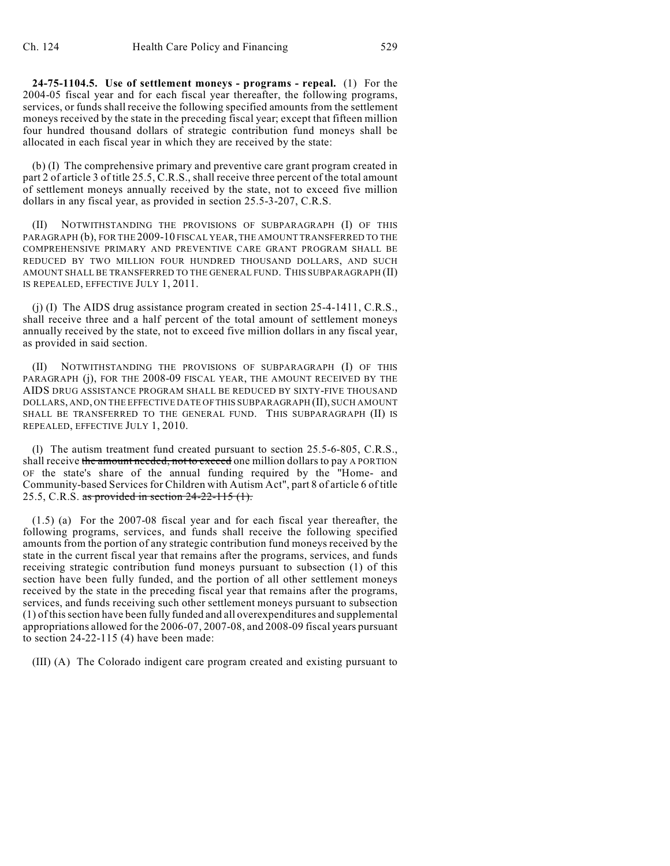**24-75-1104.5. Use of settlement moneys - programs - repeal.** (1) For the 2004-05 fiscal year and for each fiscal year thereafter, the following programs, services, or funds shall receive the following specified amounts from the settlement moneys received by the state in the preceding fiscal year; except that fifteen million four hundred thousand dollars of strategic contribution fund moneys shall be allocated in each fiscal year in which they are received by the state:

(b) (I) The comprehensive primary and preventive care grant program created in part 2 of article 3 of title 25.5, C.R.S., shall receive three percent of the total amount of settlement moneys annually received by the state, not to exceed five million dollars in any fiscal year, as provided in section 25.5-3-207, C.R.S.

(II) NOTWITHSTANDING THE PROVISIONS OF SUBPARAGRAPH (I) OF THIS PARAGRAPH (b), FOR THE 2009-10 FISCAL YEAR, THE AMOUNT TRANSFERRED TO THE COMPREHENSIVE PRIMARY AND PREVENTIVE CARE GRANT PROGRAM SHALL BE REDUCED BY TWO MILLION FOUR HUNDRED THOUSAND DOLLARS, AND SUCH AMOUNT SHALL BE TRANSFERRED TO THE GENERAL FUND. THIS SUBPARAGRAPH (II) IS REPEALED, EFFECTIVE JULY 1, 2011.

(j) (I) The AIDS drug assistance program created in section 25-4-1411, C.R.S., shall receive three and a half percent of the total amount of settlement moneys annually received by the state, not to exceed five million dollars in any fiscal year, as provided in said section.

(II) NOTWITHSTANDING THE PROVISIONS OF SUBPARAGRAPH (I) OF THIS PARAGRAPH (j), FOR THE 2008-09 FISCAL YEAR, THE AMOUNT RECEIVED BY THE AIDS DRUG ASSISTANCE PROGRAM SHALL BE REDUCED BY SIXTY-FIVE THOUSAND DOLLARS, AND, ON THE EFFECTIVE DATE OFTHIS SUBPARAGRAPH (II), SUCH AMOUNT SHALL BE TRANSFERRED TO THE GENERAL FUND. THIS SUBPARAGRAPH (II) IS REPEALED, EFFECTIVE JULY 1, 2010.

(l) The autism treatment fund created pursuant to section 25.5-6-805, C.R.S., shall receive the amount needed, not to exceed one million dollars to pay A PORTION OF the state's share of the annual funding required by the "Home- and Community-based Services for Children with Autism Act", part 8 of article 6 of title 25.5, C.R.S. as provided in section  $24-22-115$  (1).

(1.5) (a) For the 2007-08 fiscal year and for each fiscal year thereafter, the following programs, services, and funds shall receive the following specified amounts from the portion of any strategic contribution fund moneys received by the state in the current fiscal year that remains after the programs, services, and funds receiving strategic contribution fund moneys pursuant to subsection (1) of this section have been fully funded, and the portion of all other settlement moneys received by the state in the preceding fiscal year that remains after the programs, services, and funds receiving such other settlement moneys pursuant to subsection (1) of this section have been fully funded and all overexpenditures and supplemental appropriations allowed for the 2006-07, 2007-08, and 2008-09 fiscal years pursuant to section 24-22-115 (4) have been made:

(III) (A) The Colorado indigent care program created and existing pursuant to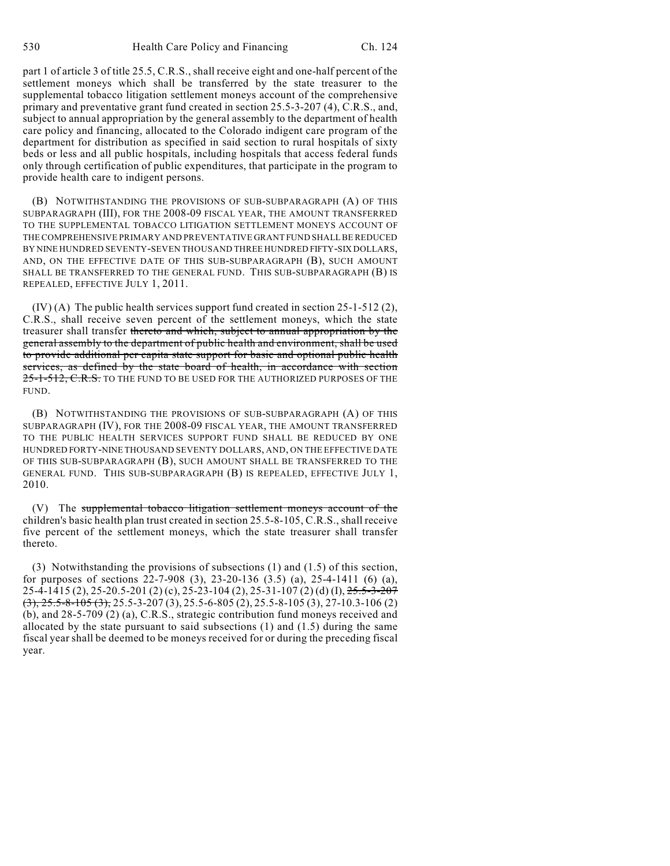part 1 of article 3 of title 25.5, C.R.S., shall receive eight and one-half percent of the settlement moneys which shall be transferred by the state treasurer to the supplemental tobacco litigation settlement moneys account of the comprehensive primary and preventative grant fund created in section 25.5-3-207 (4), C.R.S., and, subject to annual appropriation by the general assembly to the department of health care policy and financing, allocated to the Colorado indigent care program of the department for distribution as specified in said section to rural hospitals of sixty beds or less and all public hospitals, including hospitals that access federal funds only through certification of public expenditures, that participate in the program to provide health care to indigent persons.

(B) NOTWITHSTANDING THE PROVISIONS OF SUB-SUBPARAGRAPH (A) OF THIS SUBPARAGRAPH (III), FOR THE 2008-09 FISCAL YEAR, THE AMOUNT TRANSFERRED TO THE SUPPLEMENTAL TOBACCO LITIGATION SETTLEMENT MONEYS ACCOUNT OF THE COMPREHENSIVE PRIMARY AND PREVENTATIVE GRANT FUND SHALL BE REDUCED BY NINE HUNDRED SEVENTY-SEVEN THOUSAND THREE HUNDRED FIFTY-SIX DOLLARS, AND, ON THE EFFECTIVE DATE OF THIS SUB-SUBPARAGRAPH (B), SUCH AMOUNT SHALL BE TRANSFERRED TO THE GENERAL FUND. THIS SUB-SUBPARAGRAPH (B) IS REPEALED, EFFECTIVE JULY 1, 2011.

 $(IV)$  (A) The public health services support fund created in section 25-1-512 (2), C.R.S., shall receive seven percent of the settlement moneys, which the state treasurer shall transfer thereto and which, subject to annual appropriation by the general assembly to the department of public health and environment, shall be used to provide additional per capita state support for basic and optional public health services, as defined by the state board of health, in accordance with section 25-1-512, C.R.S. TO THE FUND TO BE USED FOR THE AUTHORIZED PURPOSES OF THE FUND.

(B) NOTWITHSTANDING THE PROVISIONS OF SUB-SUBPARAGRAPH (A) OF THIS SUBPARAGRAPH (IV), FOR THE 2008-09 FISCAL YEAR, THE AMOUNT TRANSFERRED TO THE PUBLIC HEALTH SERVICES SUPPORT FUND SHALL BE REDUCED BY ONE HUNDRED FORTY-NINE THOUSAND SEVENTY DOLLARS, AND, ON THE EFFECTIVE DATE OF THIS SUB-SUBPARAGRAPH (B), SUCH AMOUNT SHALL BE TRANSFERRED TO THE GENERAL FUND. THIS SUB-SUBPARAGRAPH (B) IS REPEALED, EFFECTIVE JULY 1, 2010.

(V) The supplemental tobacco litigation settlement moneys account of the children's basic health plan trust created in section 25.5-8-105, C.R.S., shall receive five percent of the settlement moneys, which the state treasurer shall transfer thereto.

(3) Notwithstanding the provisions of subsections (1) and (1.5) of this section, for purposes of sections 22-7-908 (3), 23-20-136 (3.5) (a), 25-4-1411 (6) (a), 25-4-1415 (2), 25-20.5-201 (2) (c), 25-23-104 (2), 25-31-107 (2) (d) (I), 25.5-3-207  $(3)$ ,  $25.5-8-105$   $(3)$ ,  $25.5-3-207$   $(3)$ ,  $25.5-6-805$   $(2)$ ,  $25.5-8-105$   $(3)$ ,  $27-10.3-106$   $(2)$ (b), and 28-5-709 (2) (a), C.R.S., strategic contribution fund moneys received and allocated by the state pursuant to said subsections (1) and (1.5) during the same fiscal year shall be deemed to be moneys received for or during the preceding fiscal year.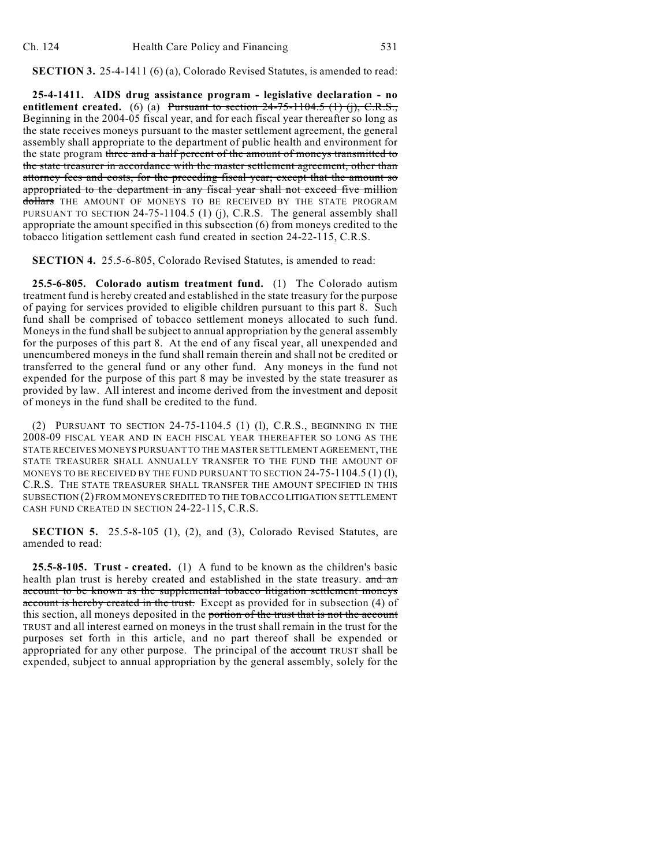**SECTION 3.** 25-4-1411 (6) (a), Colorado Revised Statutes, is amended to read:

**25-4-1411. AIDS drug assistance program - legislative declaration - no entitlement created.** (6) (a) Pursuant to section  $24-75-1104.5$  (1) (i), C.R.S., Beginning in the 2004-05 fiscal year, and for each fiscal year thereafter so long as the state receives moneys pursuant to the master settlement agreement, the general assembly shall appropriate to the department of public health and environment for the state program three and a half percent of the amount of moneys transmitted to the state treasurer in accordance with the master settlement agreement, other than attorney fees and costs, for the preceding fiscal year; except that the amount so appropriated to the department in any fiscal year shall not exceed five million dollars THE AMOUNT OF MONEYS TO BE RECEIVED BY THE STATE PROGRAM PURSUANT TO SECTION 24-75-1104.5 (1) (j), C.R.S. The general assembly shall appropriate the amount specified in this subsection (6) from moneys credited to the tobacco litigation settlement cash fund created in section 24-22-115, C.R.S.

**SECTION 4.** 25.5-6-805, Colorado Revised Statutes, is amended to read:

**25.5-6-805. Colorado autism treatment fund.** (1) The Colorado autism treatment fund is hereby created and established in the state treasury for the purpose of paying for services provided to eligible children pursuant to this part 8. Such fund shall be comprised of tobacco settlement moneys allocated to such fund. Moneys in the fund shall be subject to annual appropriation by the general assembly for the purposes of this part 8. At the end of any fiscal year, all unexpended and unencumbered moneys in the fund shall remain therein and shall not be credited or transferred to the general fund or any other fund. Any moneys in the fund not expended for the purpose of this part 8 may be invested by the state treasurer as provided by law. All interest and income derived from the investment and deposit of moneys in the fund shall be credited to the fund.

(2) PURSUANT TO SECTION 24-75-1104.5 (1) (l), C.R.S., BEGINNING IN THE 2008-09 FISCAL YEAR AND IN EACH FISCAL YEAR THEREAFTER SO LONG AS THE STATE RECEIVES MONEYS PURSUANT TO THE MASTER SETTLEMENT AGREEMENT, THE STATE TREASURER SHALL ANNUALLY TRANSFER TO THE FUND THE AMOUNT OF MONEYS TO BE RECEIVED BY THE FUND PURSUANT TO SECTION  $24-75-1104.5$  (1) (1), C.R.S. THE STATE TREASURER SHALL TRANSFER THE AMOUNT SPECIFIED IN THIS SUBSECTION (2) FROM MONEYS CREDITED TO THE TOBACCO LITIGATION SETTLEMENT CASH FUND CREATED IN SECTION 24-22-115, C.R.S.

**SECTION 5.** 25.5-8-105 (1), (2), and (3), Colorado Revised Statutes, are amended to read:

**25.5-8-105. Trust - created.** (1) A fund to be known as the children's basic health plan trust is hereby created and established in the state treasury. and an account to be known as the supplemental tobacco litigation settlement moneys account is hereby created in the trust. Except as provided for in subsection (4) of this section, all moneys deposited in the portion of the trust that is not the account TRUST and all interest earned on moneys in the trust shall remain in the trust for the purposes set forth in this article, and no part thereof shall be expended or appropriated for any other purpose. The principal of the account TRUST shall be expended, subject to annual appropriation by the general assembly, solely for the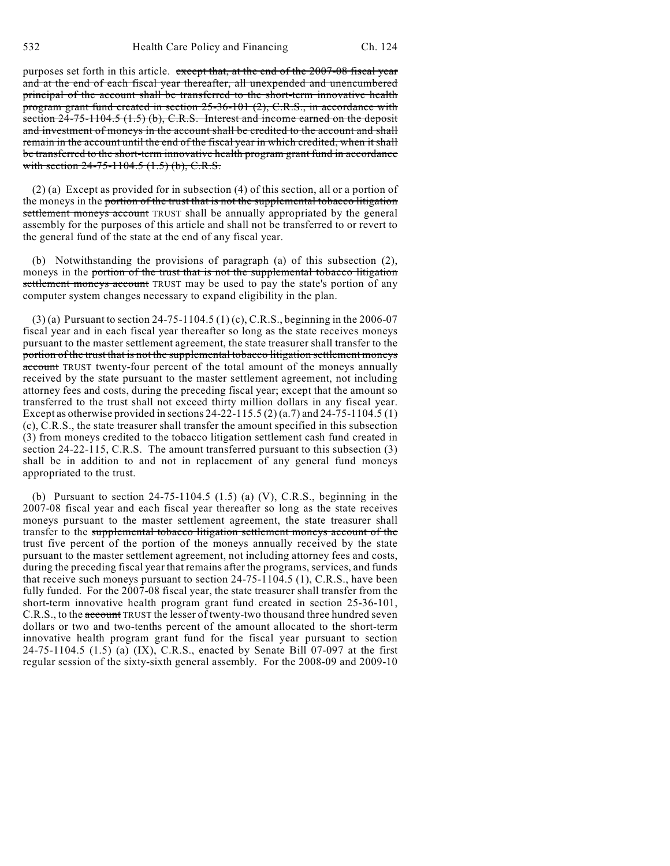purposes set forth in this article. except that, at the end of the 2007-08 fiscal year and at the end of each fiscal year thereafter, all unexpended and unencumbered principal of the account shall be transferred to the short-term innovative health program grant fund created in section 25-36-101 (2), C.R.S., in accordance with section 24-75-1104.5 (1.5) (b), C.R.S. Interest and income earned on the deposit and investment of moneys in the account shall be credited to the account and shall remain in the account until the end of the fiscal year in which credited, when it shall be transferred to the short-term innovative health program grant fund in accordance with section  $24-75-1104.5$   $(1.5)$   $(b)$ , C.R.S.

(2) (a) Except as provided for in subsection (4) of this section, all or a portion of the moneys in the portion of the trust that is not the supplemental tobacco litigation settlement moneys account TRUST shall be annually appropriated by the general assembly for the purposes of this article and shall not be transferred to or revert to the general fund of the state at the end of any fiscal year.

(b) Notwithstanding the provisions of paragraph (a) of this subsection (2), moneys in the portion of the trust that is not the supplemental tobacco litigation settlement moneys account TRUST may be used to pay the state's portion of any computer system changes necessary to expand eligibility in the plan.

(3) (a) Pursuant to section 24-75-1104.5 (1) (c), C.R.S., beginning in the 2006-07 fiscal year and in each fiscal year thereafter so long as the state receives moneys pursuant to the master settlement agreement, the state treasurer shall transfer to the portion of the trust that is not the supplemental tobacco litigation settlement moneys account TRUST twenty-four percent of the total amount of the moneys annually received by the state pursuant to the master settlement agreement, not including attorney fees and costs, during the preceding fiscal year; except that the amount so transferred to the trust shall not exceed thirty million dollars in any fiscal year. Except as otherwise provided in sections 24-22-115.5 (2) (a.7) and 24-75-1104.5 (1) (c), C.R.S., the state treasurer shall transfer the amount specified in this subsection (3) from moneys credited to the tobacco litigation settlement cash fund created in section 24-22-115, C.R.S. The amount transferred pursuant to this subsection (3) shall be in addition to and not in replacement of any general fund moneys appropriated to the trust.

(b) Pursuant to section 24-75-1104.5 (1.5) (a) (V), C.R.S., beginning in the 2007-08 fiscal year and each fiscal year thereafter so long as the state receives moneys pursuant to the master settlement agreement, the state treasurer shall transfer to the supplemental tobacco litigation settlement moneys account of the trust five percent of the portion of the moneys annually received by the state pursuant to the master settlement agreement, not including attorney fees and costs, during the preceding fiscal year that remains after the programs, services, and funds that receive such moneys pursuant to section 24-75-1104.5 (1), C.R.S., have been fully funded. For the 2007-08 fiscal year, the state treasurer shall transfer from the short-term innovative health program grant fund created in section 25-36-101, C.R.S., to the account TRUST the lesser of twenty-two thousand three hundred seven dollars or two and two-tenths percent of the amount allocated to the short-term innovative health program grant fund for the fiscal year pursuant to section 24-75-1104.5 (1.5) (a) (IX), C.R.S., enacted by Senate Bill 07-097 at the first regular session of the sixty-sixth general assembly. For the 2008-09 and 2009-10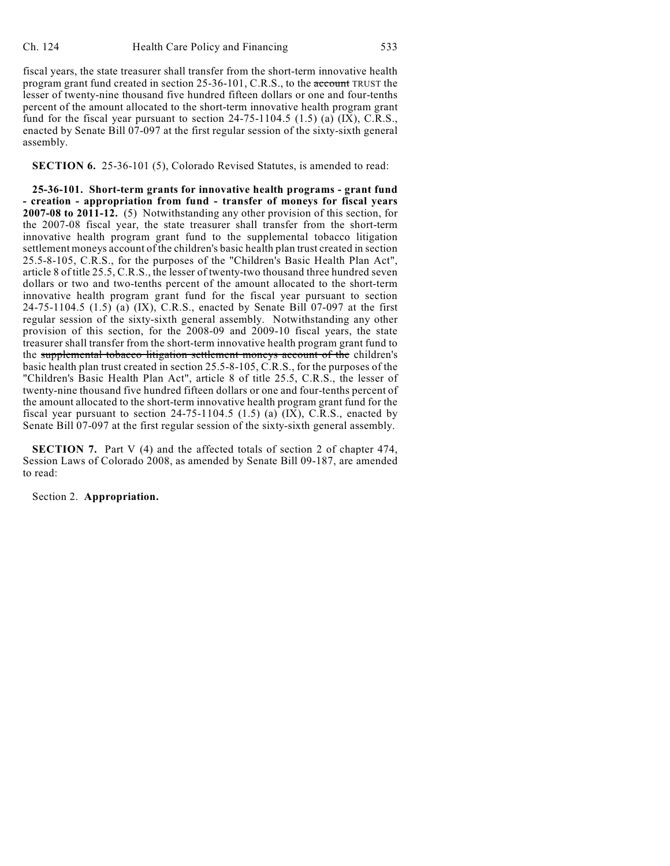fiscal years, the state treasurer shall transfer from the short-term innovative health program grant fund created in section 25-36-101, C.R.S., to the account TRUST the lesser of twenty-nine thousand five hundred fifteen dollars or one and four-tenths percent of the amount allocated to the short-term innovative health program grant fund for the fiscal year pursuant to section  $24-75-1104.5$  (1.5) (a) (IX), C.R.S., enacted by Senate Bill 07-097 at the first regular session of the sixty-sixth general assembly.

**SECTION 6.** 25-36-101 (5), Colorado Revised Statutes, is amended to read:

**25-36-101. Short-term grants for innovative health programs - grant fund - creation - appropriation from fund - transfer of moneys for fiscal years 2007-08 to 2011-12.** (5) Notwithstanding any other provision of this section, for the 2007-08 fiscal year, the state treasurer shall transfer from the short-term innovative health program grant fund to the supplemental tobacco litigation settlement moneys account of the children's basic health plan trust created in section 25.5-8-105, C.R.S., for the purposes of the "Children's Basic Health Plan Act", article 8 of title 25.5, C.R.S., the lesser of twenty-two thousand three hundred seven dollars or two and two-tenths percent of the amount allocated to the short-term innovative health program grant fund for the fiscal year pursuant to section 24-75-1104.5 (1.5) (a) (IX), C.R.S., enacted by Senate Bill 07-097 at the first regular session of the sixty-sixth general assembly. Notwithstanding any other provision of this section, for the 2008-09 and 2009-10 fiscal years, the state treasurer shall transfer from the short-term innovative health program grant fund to the supplemental tobacco litigation settlement moneys account of the children's basic health plan trust created in section 25.5-8-105, C.R.S., for the purposes of the "Children's Basic Health Plan Act", article 8 of title 25.5, C.R.S., the lesser of twenty-nine thousand five hundred fifteen dollars or one and four-tenths percent of the amount allocated to the short-term innovative health program grant fund for the fiscal year pursuant to section 24-75-1104.5 (1.5) (a)  $(X)$ , C.R.S., enacted by Senate Bill 07-097 at the first regular session of the sixty-sixth general assembly.

**SECTION 7.** Part V (4) and the affected totals of section 2 of chapter 474, Session Laws of Colorado 2008, as amended by Senate Bill 09-187, are amended to read:

Section 2. **Appropriation.**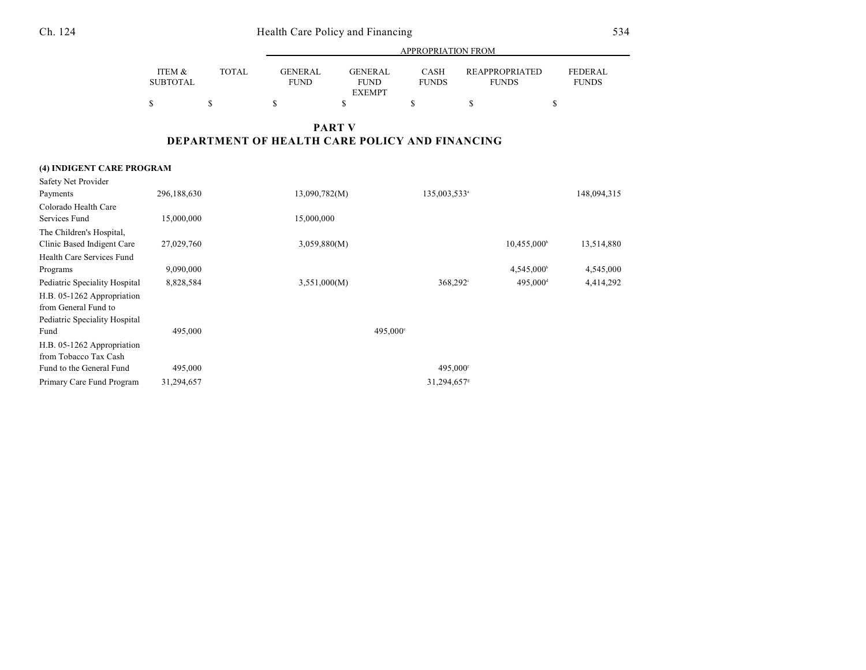## Ch. 124 Health Care Policy and Financing 534

|                 |        | APPROPRIATION FROM |                              |              |                       |                |  |  |
|-----------------|--------|--------------------|------------------------------|--------------|-----------------------|----------------|--|--|
| ITEM &          | TOTAL. | GENERAL            | <b>GENERAL</b>               | CASH         | <b>REAPPROPRIATED</b> | <b>FEDERAL</b> |  |  |
| <b>SUBTOTAL</b> |        | <b>FUND</b>        | <b>FUND</b><br><b>EXEMPT</b> | <b>FUNDS</b> | <b>FUNDS</b>          | <b>FUNDS</b>   |  |  |
| \$              |        |                    |                              |              |                       |                |  |  |

## **PART V DEPARTMENT OF HEALTH CARE POLICY AND FINANCING**

#### **(4) INDIGENT CARE PROGRAM**

| Safety Net Provider           |             |               |                          |                         |             |
|-------------------------------|-------------|---------------|--------------------------|-------------------------|-------------|
| Payments                      | 296,188,630 | 13,090,782(M) | 135,003,533 <sup>a</sup> |                         | 148,094,315 |
| Colorado Health Care          |             |               |                          |                         |             |
| Services Fund                 | 15,000,000  | 15,000,000    |                          |                         |             |
| The Children's Hospital,      |             |               |                          |                         |             |
| Clinic Based Indigent Care    | 27,029,760  | 3,059,880(M)  |                          | 10,455,000 <sup>b</sup> | 13,514,880  |
| Health Care Services Fund     |             |               |                          |                         |             |
| Programs                      | 9,090,000   |               |                          | $4,545,000^{\circ}$     | 4,545,000   |
| Pediatric Speciality Hospital | 8,828,584   | 3,551,000(M)  | 368,292°                 | 495,000 <sup>d</sup>    | 4,414,292   |
| H.B. 05-1262 Appropriation    |             |               |                          |                         |             |
| from General Fund to          |             |               |                          |                         |             |
| Pediatric Speciality Hospital |             |               |                          |                         |             |
| Fund                          | 495,000     |               | 495,000°                 |                         |             |
| H.B. 05-1262 Appropriation    |             |               |                          |                         |             |
| from Tobacco Tax Cash         |             |               |                          |                         |             |
| Fund to the General Fund      | 495,000     |               | 495,000f                 |                         |             |
| Primary Care Fund Program     | 31,294,657  |               | 31,294,657 <sup>s</sup>  |                         |             |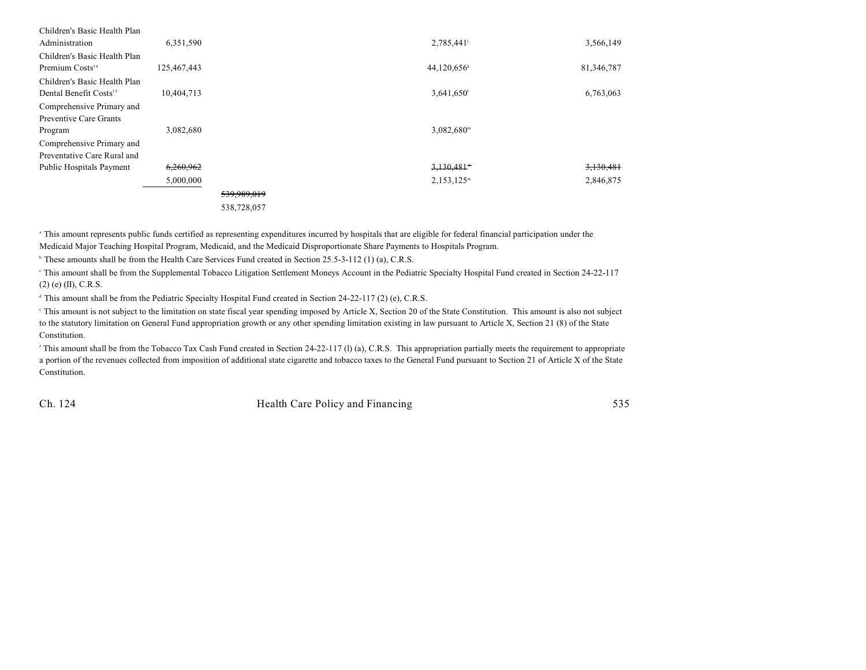| Children's Basic Health Plan       |             |             |                           |            |
|------------------------------------|-------------|-------------|---------------------------|------------|
| Administration                     | 6,351,590   |             | 2,785,441                 | 3,566,149  |
| Children's Basic Health Plan       |             |             |                           |            |
| Premium Costs <sup>14</sup>        | 125,467,443 |             | $44,120,656$ <sup>k</sup> | 81,346,787 |
| Children's Basic Health Plan       |             |             |                           |            |
| Dental Benefit Costs <sup>15</sup> | 10,404,713  |             | $3,641,650$ <sup>1</sup>  | 6,763,063  |
| Comprehensive Primary and          |             |             |                           |            |
| Preventive Care Grants             |             |             |                           |            |
| Program                            | 3,082,680   |             | $3,082,680^{\mathrm{m}}$  |            |
| Comprehensive Primary and          |             |             |                           |            |
| Preventative Care Rural and        |             |             |                           |            |
| Public Hospitals Payment           | 6,260,962   |             | $3,130,481$ <sup>m</sup>  | 3,130,481  |
|                                    | 5,000,000   |             | $2,153,125^m$             | 2,846,875  |
|                                    |             | 539,989,019 |                           |            |
|                                    |             | 538,728,057 |                           |            |
|                                    |             |             |                           |            |

<sup>a</sup> This amount represents public funds certified as representing expenditures incurred by hospitals that are eligible for federal financial participation under the Medicaid Major Teaching Hospital Program, Medicaid, and the Medicaid Disproportionate Share Payments to Hospitals Program.

 $\textdegree$  These amounts shall be from the Health Care Services Fund created in Section 25.5-3-112 (1) (a), C.R.S.

 This amount shall be from the Supplemental Tobacco Litigation Settlement Moneys Account in the Pediatric Specialty Hospital Fund created in Section 24-22-117 <sup>c</sup> (2) (e) (II), C.R.S.

<sup>d</sup> This amount shall be from the Pediatric Specialty Hospital Fund created in Section 24-22-117 (2) (e), C.R.S.

<sup>e</sup> This amount is not subject to the limitation on state fiscal year spending imposed by Article X, Section 20 of the State Constitution. This amount is also not subject to the statutory limitation on General Fund appropriation growth or any other spending limitation existing in law pursuant to Article X, Section 21 (8) of the State Constitution.

<sup>f</sup> This amount shall be from the Tobacco Tax Cash Fund created in Section 24-22-117 (l) (a), C.R.S. This appropriation partially meets the requirement to appropriate a portion of the revenues collected from imposition of additional state cigarette and tobacco taxes to the General Fund pursuant to Section 21 of Article X of the State Constitution.

Ch. 124 Health Care Policy and Financing 535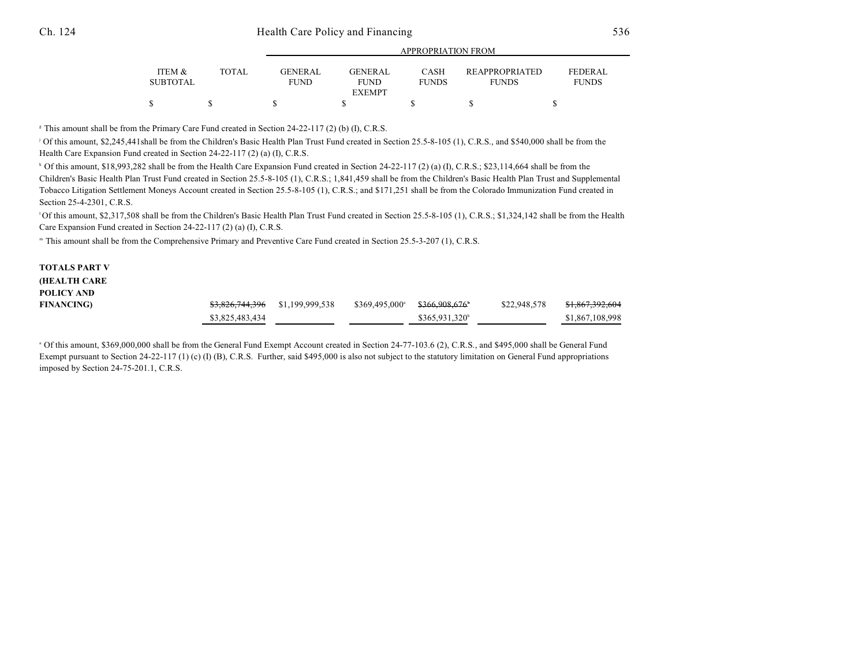| ITEM &<br><b>SUBTOTAL</b> | <b>TOTAL</b> | <b>GENERAL</b><br><b>FUND</b> | <b>GENERAL</b><br><b>FUND</b><br><b>EXEMPT</b> | CASH<br><b>FUNDS</b> | <b>REAPPROPRIATED</b><br><b>FUNDS</b> | <b>FEDERAL</b><br><b>FUNDS</b> |  |  |
|---------------------------|--------------|-------------------------------|------------------------------------------------|----------------------|---------------------------------------|--------------------------------|--|--|
|                           |              |                               |                                                |                      |                                       |                                |  |  |

APPROPRIATION FROM

 $\textdegree$  This amount shall be from the Primary Care Fund created in Section 24-22-117 (2) (b) (I), C.R.S.

<sup>j</sup> Of this amount, \$2,245,441shall be from the Children's Basic Health Plan Trust Fund created in Section 25.5-8-105 (1), C.R.S., and \$540,000 shall be from the Health Care Expansion Fund created in Section 24-22-117 (2) (a) (I), C.R.S.

 $\cdot$  Of this amount, \$18,993,282 shall be from the Health Care Expansion Fund created in Section 24-22-117 (2) (a) (I), C.R.S.; \$23,114,664 shall be from the Children's Basic Health Plan Trust Fund created in Section 25.5-8-105 (1), C.R.S.; 1,841,459 shall be from the Children's Basic Health Plan Trust and Supplemental Tobacco Litigation Settlement Moneys Account created in Section 25.5-8-105 (1), C.R.S.; and \$171,251 shall be from the Colorado Immunization Fund created in Section 25-4-2301, C.R.S.

<sup>1</sup>Of this amount, \$2,317,508 shall be from the Children's Basic Health Plan Trust Fund created in Section 25.5-8-105 (1), C.R.S.; \$1,324,142 shall be from the Health Care Expansion Fund created in Section 24-22-117 (2) (a) (I), C.R.S.

" This amount shall be from the Comprehensive Primary and Preventive Care Fund created in Section 25.5-3-207 (1), C.R.S.

| <b>TOTALS PART V</b> |                            |                 |                        |               |              |                            |
|----------------------|----------------------------|-----------------|------------------------|---------------|--------------|----------------------------|
| <b>(HEALTH CARE</b>  |                            |                 |                        |               |              |                            |
| POLICY AND           |                            |                 |                        |               |              |                            |
| <b>FINANCING)</b>    | <del>\$3,826,744,396</del> | \$1,199,999,538 | $$369,495,000^{\circ}$ | \$366.908.676 | \$22,948,578 | <del>\$1,867,392,604</del> |
|                      | \$3,825,483,434            |                 |                        | \$365,931,320 |              | \$1,867,108,998            |

<sup>a</sup> Of this amount, \$369,000,000 shall be from the General Fund Exempt Account created in Section 24-77-103.6 (2), C.R.S., and \$495,000 shall be General Fund Exempt pursuant to Section 24-22-117 (1) (c) (I) (B), C.R.S. Further, said \$495,000 is also not subject to the statutory limitation on General Fund appropriations imposed by Section 24-75-201.1, C.R.S.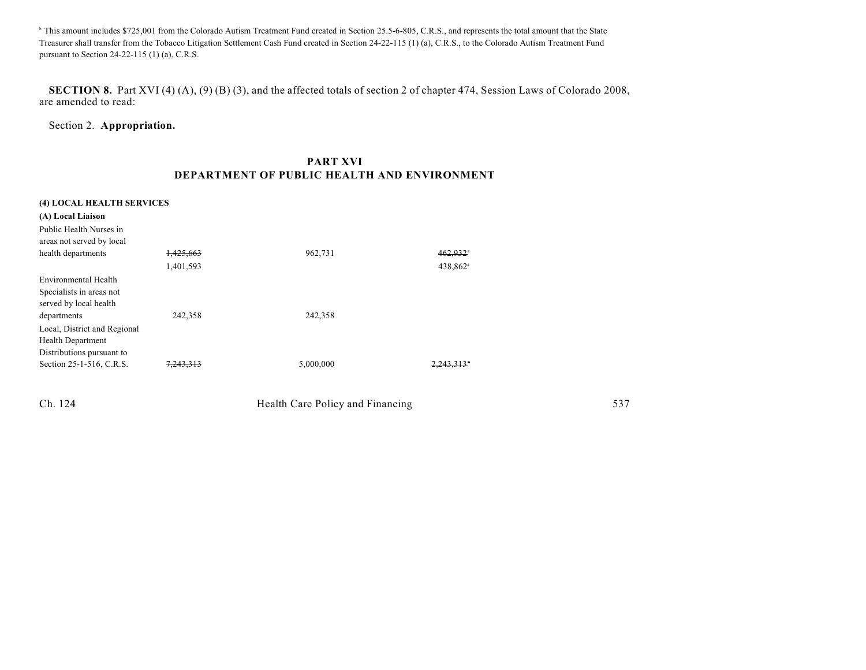<sup>b</sup> This amount includes \$725,001 from the Colorado Autism Treatment Fund created in Section 25.5-6-805, C.R.S., and represents the total amount that the State Treasurer shall transfer from the Tobacco Litigation Settlement Cash Fund created in Section 24-22-115 (1) (a), C.R.S., to the Colorado Autism Treatment Fund pursuant to Section 24-22-115 (1) (a), C.R.S.

**SECTION 8.** Part XVI (4) (A), (9) (B) (3), and the affected totals of section 2 of chapter 474, Session Laws of Colorado 2008, are amended to read:

Section 2. **Appropriation.**

### **PART XVI DEPARTMENT OF PUBLIC HEALTH AND ENVIRONMENT**

Ch. 124 Health Care Policy and Financing 537

| (4) LOCAL HEALTH SERVICES    |           |           |                        |  |
|------------------------------|-----------|-----------|------------------------|--|
| (A) Local Liaison            |           |           |                        |  |
| Public Health Nurses in      |           |           |                        |  |
| areas not served by local    |           |           |                        |  |
| health departments           | 1,425,663 | 962,731   | $462,932$ <sup>*</sup> |  |
|                              | 1,401,593 |           | 438,862 <sup>a</sup>   |  |
| Environmental Health         |           |           |                        |  |
| Specialists in areas not     |           |           |                        |  |
| served by local health       |           |           |                        |  |
| departments                  | 242,358   | 242,358   |                        |  |
| Local, District and Regional |           |           |                        |  |
| <b>Health Department</b>     |           |           |                        |  |
| Distributions pursuant to    |           |           |                        |  |
| Section 25-1-516, C.R.S.     | 7,243,313 | 5,000,000 | $2.243.313*$           |  |
|                              |           |           |                        |  |
|                              |           |           |                        |  |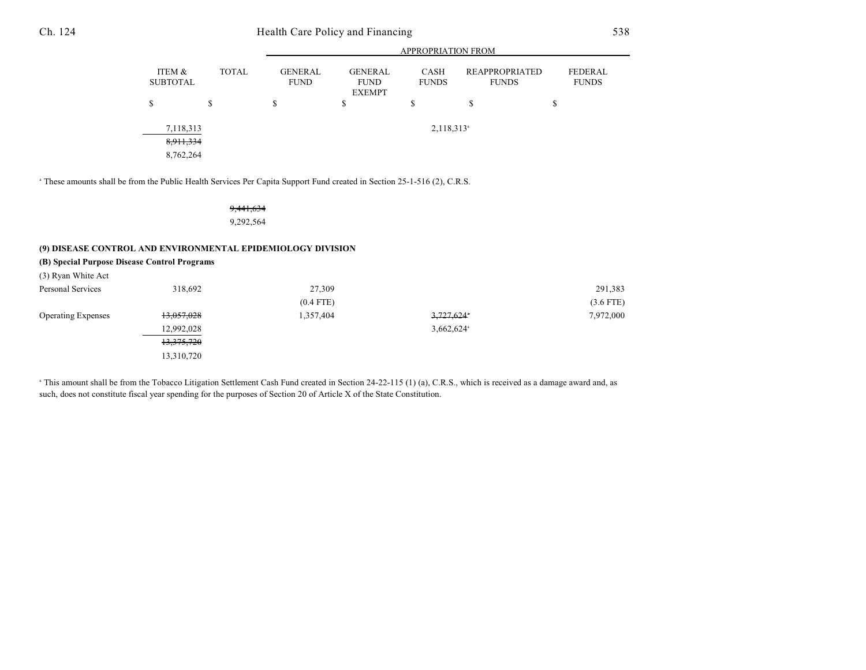## Ch. 124 Health Care Policy and Financing 538

|                                     |              |                               | <b>APPROPRIATION FROM</b>                      |                             |                                       |                                |  |  |  |  |
|-------------------------------------|--------------|-------------------------------|------------------------------------------------|-----------------------------|---------------------------------------|--------------------------------|--|--|--|--|
| ITEM &<br><b>SUBTOTAL</b>           | <b>TOTAL</b> | <b>GENERAL</b><br><b>FUND</b> | <b>GENERAL</b><br><b>FUND</b><br><b>EXEMPT</b> | <b>CASH</b><br><b>FUNDS</b> | <b>REAPPROPRIATED</b><br><b>FUNDS</b> | <b>FEDERAL</b><br><b>FUNDS</b> |  |  |  |  |
| \$                                  | \$           | \$                            | \$                                             | \$                          | \$                                    | D                              |  |  |  |  |
| 7,118,313<br>8,911,334<br>8,762,264 |              |                               |                                                | $2,118,313$ <sup>a</sup>    |                                       |                                |  |  |  |  |

<sup>a</sup> These amounts shall be from the Public Health Services Per Capita Support Fund created in Section 25-1-516 (2), C.R.S.

9,441,634 9,292,564

#### **(9) DISEASE CONTROL AND ENVIRONMENTAL EPIDEMIOLOGY DIVISION**

| 318.692    | 27,309                                       |                          | 291,383     |
|------------|----------------------------------------------|--------------------------|-------------|
|            | $(0.4$ FTE)                                  |                          | $(3.6$ FTE) |
| 13,057,028 | 1,357,404                                    | $3,727,624$ *            | 7,972,000   |
| 12,992,028 |                                              | $3,662,624$ <sup>a</sup> |             |
| 13,375,720 |                                              |                          |             |
| 13,310,720 |                                              |                          |             |
|            | (B) Special Purpose Disease Control Programs |                          |             |

<sup>a</sup> This amount shall be from the Tobacco Litigation Settlement Cash Fund created in Section 24-22-115 (1) (a), C.R.S., which is received as a damage award and, as such, does not constitute fiscal year spending for the purposes of Section 20 of Article X of the State Constitution.